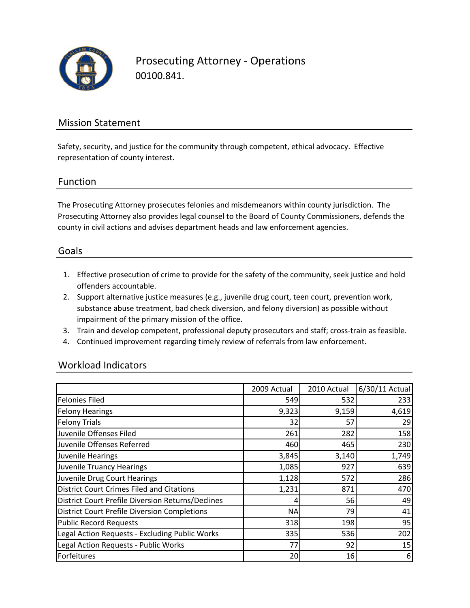

Prosecuting Attorney ‐ Operations 00100.841.

### Mission Statement

Safety, security, and justice for the community through competent, ethical advocacy. Effective representation of county interest.

### Function

The Prosecuting Attorney prosecutes felonies and misdemeanors within county jurisdiction. The Prosecuting Attorney also provides legal counsel to the Board of County Commissioners, defends the county in civil actions and advises department heads and law enforcement agencies.

### Goals

- 1. Effective prosecution of crime to provide for the safety of the community, seek justice and hold offenders accountable.
- 2. Support alternative justice measures (e.g., juvenile drug court, teen court, prevention work, substance abuse treatment, bad check diversion, and felony diversion) as possible without impairment of the primary mission of the office.
- 3. Train and develop competent, professional deputy prosecutors and staff; cross‐train as feasible.
- 4. Continued improvement regarding timely review of referrals from law enforcement.

### Workload Indicators

|                                                          | 2009 Actual | 2010 Actual | 6/30/11 Actual |
|----------------------------------------------------------|-------------|-------------|----------------|
| <b>Felonies Filed</b>                                    | 549         | 532         | 233            |
| <b>Felony Hearings</b>                                   | 9,323       | 9,159       | 4,619          |
| <b>Felony Trials</b>                                     | 32          | 57          | 29             |
| Juvenile Offenses Filed                                  | 261         | 282         | 158            |
| Juvenile Offenses Referred                               | 460         | 465         | 230            |
| Juvenile Hearings                                        | 3,845       | 3,140       | 1,749          |
| Juvenile Truancy Hearings                                | 1,085       | 927         | 639            |
| Juvenile Drug Court Hearings                             | 1,128       | 572         | 286            |
| <b>District Court Crimes Filed and Citations</b>         | 1,231       | 871         | 470            |
| <b>District Court Prefile Diversion Returns/Declines</b> | 4           | 56          | 49             |
| <b>District Court Prefile Diversion Completions</b>      | <b>NA</b>   | 79          | 41             |
| <b>Public Record Requests</b>                            | 318         | 198         | 95             |
| Legal Action Requests - Excluding Public Works           | 335         | 536         | 202            |
| Legal Action Requests - Public Works                     | 77          | 92          | 15             |
| Forfeitures                                              | 20          | 16          | 6              |